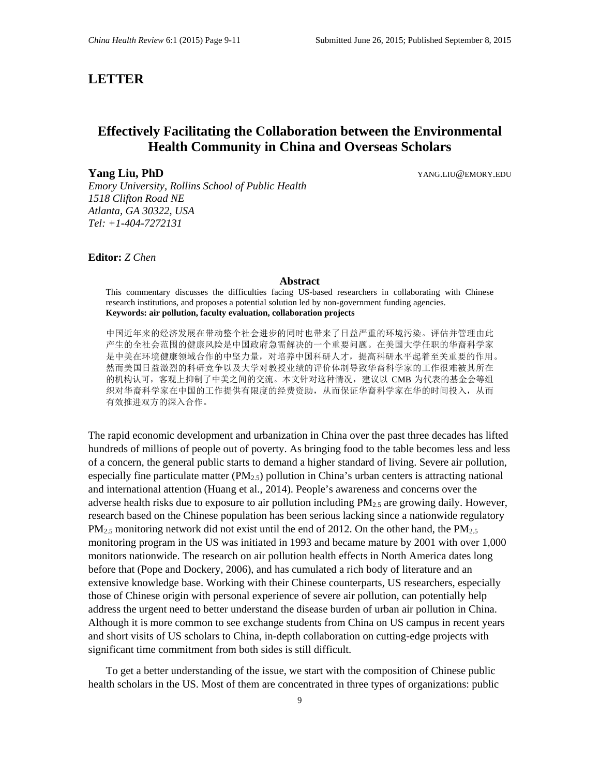## **LETTER**

# **Effectively Facilitating the Collaboration between the Environmental Health Community in China and Overseas Scholars**

**Yang Liu, PhD** YANG.LIU@EMORY.EDU

*Emory University, Rollins School of Public Health 1518 Clifton Road NE Atlanta, GA 30322, USA Tel: +1-404-7272131*

#### **Editor:** *Z Chen*

#### **Abstract**

This commentary discusses the difficulties facing US-based researchers in collaborating with Chinese research institutions, and proposes a potential solution led by non-government funding agencies. **Keywords: air pollution, faculty evaluation, collaboration projects**

中国近年来的经济发展在带动整个社会进步的同时也带来了日益严重的环境污染。评估并管理由此 产生的全社会范围的健康风险是中国政府急需解决的一个重要问题。在美国大学任职的华裔科学家 是中美在环境健康领域合作的中坚力量,对培养中国科研人才,提高科研水平起着至关重要的作用。 然而美国日益激烈的科研竞争以及大学对教授业绩的评价体制导致华裔科学家的工作很难被其所在 的机构认可,客观上抑制了中美之间的交流。本文针对这种情况,建议以 CMB 为代表的基金会等组 织对华裔科学家在中国的工作提供有限度的经费资助,从而保证华裔科学家在华的时间投入,从而 有效推进双方的深入合作。

The rapid economic development and urbanization in China over the past three decades has lifted hundreds of millions of people out of poverty. As bringing food to the table becomes less and less of a concern, the general public starts to demand a higher standard of living. Severe air pollution, especially fine particulate matter ( $PM_{2.5}$ ) pollution in China's urban centers is attracting national and international attention [\(Huang et al.,](#page-2-0) 2014). People's awareness and concerns over the adverse health risks due to exposure to air pollution including  $PM_{2.5}$  are growing daily. However, research based on the Chinese population has been serious lacking since a nationwide regulatory  $PM_{2.5}$  monitoring network did not exist until the end of 2012. On the other hand, the  $PM_{2.5}$ monitoring program in the US was initiated in 1993 and became mature by 2001 with over 1,000 monitors nationwide. The research on air pollution health effects in North America dates long before that [\(Pope and Dockery,](#page-2-1) 2006), and has cumulated a rich body of literature and an extensive knowledge base. Working with their Chinese counterparts, US researchers, especially those of Chinese origin with personal experience of severe air pollution, can potentially help address the urgent need to better understand the disease burden of urban air pollution in China. Although it is more common to see exchange students from China on US campus in recent years and short visits of US scholars to China, in-depth collaboration on cutting-edge projects with significant time commitment from both sides is still difficult.

To get a better understanding of the issue, we start with the composition of Chinese public health scholars in the US. Most of them are concentrated in three types of organizations: public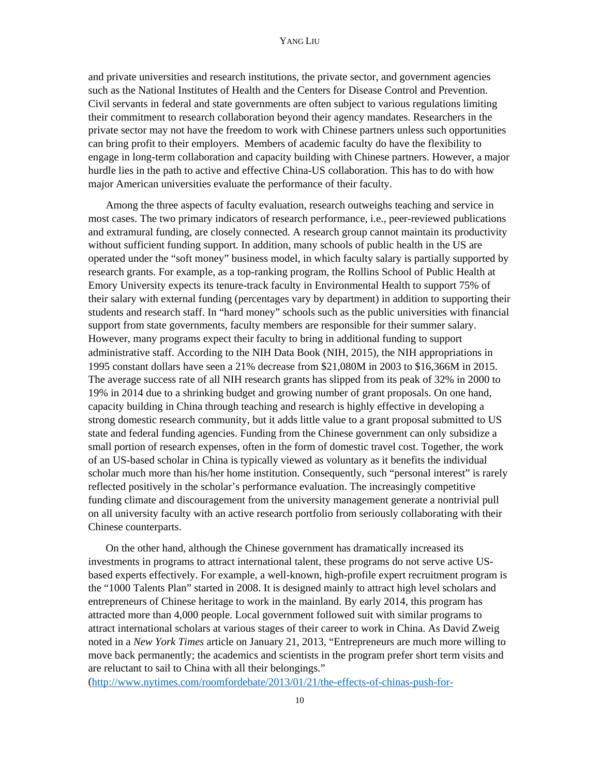and private universities and research institutions, the private sector, and government agencies such as the National Institutes of Health and the Centers for Disease Control and Prevention. Civil servants in federal and state governments are often subject to various regulations limiting their commitment to research collaboration beyond their agency mandates. Researchers in the private sector may not have the freedom to work with Chinese partners unless such opportunities can bring profit to their employers. Members of academic faculty do have the flexibility to engage in long-term collaboration and capacity building with Chinese partners. However, a major hurdle lies in the path to active and effective China-US collaboration. This has to do with how major American universities evaluate the performance of their faculty.

Among the three aspects of faculty evaluation, research outweighs teaching and service in most cases. The two primary indicators of research performance, i.e., peer-reviewed publications and extramural funding, are closely connected. A research group cannot maintain its productivity without sufficient funding support. In addition, many schools of public health in the US are operated under the "soft money" business model, in which faculty salary is partially supported by research grants. For example, as a top-ranking program, the Rollins School of Public Health at Emory University expects its tenure-track faculty in Environmental Health to support 75% of their salary with external funding (percentages vary by department) in addition to supporting their students and research staff. In "hard money" schools such as the public universities with financial support from state governments, faculty members are responsible for their summer salary. However, many programs expect their faculty to bring in additional funding to support administrative staff. According to the NIH Data Book (NIH, 2015), the NIH appropriations in 1995 constant dollars have seen a 21% decrease from \$21,080M in 2003 to \$16,366M in 2015. The average success rate of all NIH research grants has slipped from its peak of 32% in 2000 to 19% in 2014 due to a shrinking budget and growing number of grant proposals. On one hand, capacity building in China through teaching and research is highly effective in developing a strong domestic research community, but it adds little value to a grant proposal submitted to US state and federal funding agencies. Funding from the Chinese government can only subsidize a small portion of research expenses, often in the form of domestic travel cost. Together, the work of an US-based scholar in China is typically viewed as voluntary as it benefits the individual scholar much more than his/her home institution. Consequently, such "personal interest" is rarely reflected positively in the scholar's performance evaluation. The increasingly competitive funding climate and discouragement from the university management generate a nontrivial pull on all university faculty with an active research portfolio from seriously collaborating with their Chinese counterparts.

On the other hand, although the Chinese government has dramatically increased its investments in programs to attract international talent, these programs do not serve active USbased experts effectively. For example, a well-known, high-profile expert recruitment program is the "1000 Talents Plan" started in 2008. It is designed mainly to attract high level scholars and entrepreneurs of Chinese heritage to work in the mainland. By early 2014, this program has attracted more than 4,000 people. Local government followed suit with similar programs to attract international scholars at various stages of their career to work in China. As David Zweig noted in a *New York Times* article on January 21, 2013, "Entrepreneurs are much more willing to move back permanently; the academics and scientists in the program prefer short term visits and are reluctant to sail to China with all their belongings."

[\(http://www.nytimes.com/roomfordebate/2013/01/21/the-effects-of-chinas-push-for-](http://www.nytimes.com/roomfordebate/2013/01/21/the-effects-of-chinas-push-for-education/luring-back-the-chinese-who-study-abroad)